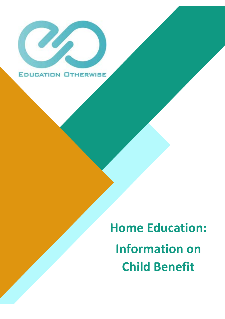

**Home Education: Information on Child Benefit**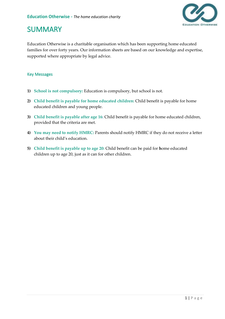

#### **SUMMARY**

Education Otherwise is a charitable organisation which has been supporting home educated families for over forty years. Our information sheets are based on our knowledge and expertise, supported where appropriate by legal advice.

#### Key Messages

- **1) School is not compulsory:** Education is compulsory, but school is not.
- **2) Child benefit is payable for home educated children:** Child benefit is payable for home educated children and young people.
- **3) Child benefit is payable after age 16:** Child benefit is payable for home educated children, provided that the criteria are met.
- **4) You may need to notify HMRC:** Parents should notify HMRC if they do not receive a letter about their child's education.
- **5) Child benefit is payable up to age 20:** Child benefit can be paid for **h**ome educated children up to age 20, just as it can for other children.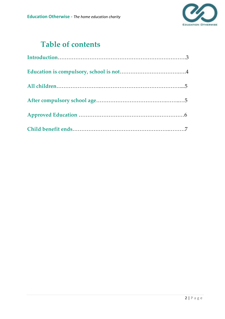

### **Table of contents**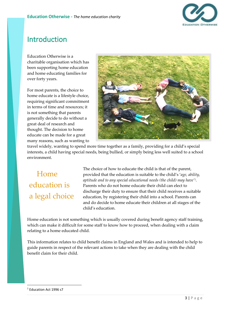

#### Introduction

Education Otherwise is a charitable organisation which has been supporting home education and home educating families for over forty years.

For most parents, the choice to home educate is a lifestyle choice, requiring significant commitment in terms of time and resources; it is not something that parents generally decide to do without a great deal of research and thought. The decision to home educate can be made for a great many reasons, such as wanting to



travel widely, wanting to spend more time together as a family, providing for a child's special interests, a child having special needs, being bullied, or simply being less well suited to a school environment.

 Home education is a legal choice

The choice of how to educate the child is that of the parent, provided that the education is suitable to the child's '*age, ability, aptitude and to any special educational needs (the child) may have'<sup>1</sup>* . Parents who do not home educate their child can elect to discharge their duty to ensure that their child receives a suitable education, by registering their child into a school. Parents can and do decide to home educate their children at all stages of the child's education.

Home education is not something which is usually covered during benefit agency staff training, which can make it difficult for some staff to know how to proceed, when dealing with a claim relating to a home educated child.

This information relates to child benefit claims in England and Wales and is intended to help to guide parents in respect of the relevant actions to take when they are dealing with the child benefit claim for their child.

<sup>1</sup> Education Act 1996 s7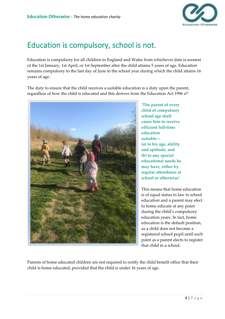

### Education is compulsory, school is not.

Education is compulsory for all children in England and Wales from whichever date is soonest of the 1st January, 1st April, or 1st September after the child attains 5 years of age. Education remains compulsory to the last day of June in the school year during which the child attains 16 years of age.

The duty to ensure that the child receives a suitable education is a duty upon the parent, regardless of how the child is educated and this derives from the Education Act 1996 s7:



**'The parent of every child of compulsory school age shall cause him to receive efficient full-time education suitable— (a) to his age, ability and aptitude, and (b) to any special educational needs he may have, either by regular attendance at school or otherwise'.**

This means that home education is of equal status in law to school education and a parent may elect to home educate at any point during the child's compulsory education years. In fact, home education is the default position, as a child does not become a registered school pupil until such point as a parent elects to register that child in a school.

Parents of home educated children are not required to notify the child benefit office that their child is home educated, provided that the child is under 16 years of age.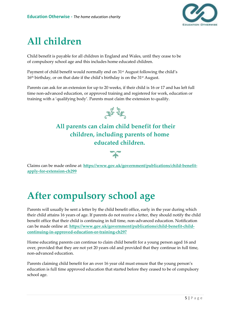

### **All children**

Child benefit is payable for all children in England and Wales, until they cease to be of compulsory school age and this includes home educated children.

Payment of child benefit would normally end on 31<sup>st</sup> August following the child's 16<sup>th</sup> birthday, or on that date if the child's birthday is on the 31<sup>st</sup> August.

Parents can ask for an extension for up to 20 weeks, if their child is 16 or 17 and has left full time non-advanced education, or approved training and registered for work, education or training with a 'qualifying body'. Parents must claim the extension to qualify.



**All parents can claim child benefit for their children, including parents of home educated children.**

Claims can be made online at: **[https://www.gov.uk/government/publications/child-benefit](https://www.gov.uk/government/publications/child-benefit-apply-for-extension-ch299)[apply-for-extension-ch299](https://www.gov.uk/government/publications/child-benefit-apply-for-extension-ch299)**

# **After compulsory school age**

Parents will usually be sent a letter by the child benefit office, early in the year during which their child attains 16 years of age. If parents do not receive a letter, they should notify the child benefit office that their child is continuing in full time, non-advanced education. Notification can be made online at: **[https://www.gov.uk/government/publications/child-benefit-child](https://www.gov.uk/government/publications/child-benefit-child-continuing-in-approved-education-or-training-ch297)[continuing-in-approved-education-or-training-ch297](https://www.gov.uk/government/publications/child-benefit-child-continuing-in-approved-education-or-training-ch297)**

Home educating parents can continue to claim child benefit for a young person aged 16 and over, provided that they are not yet 20 years old and provided that they continue in full time, non-advanced education.

Parents claiming child benefit for an over 16 year old must ensure that the young person's education is full time approved education that started before they ceased to be of compulsory school age.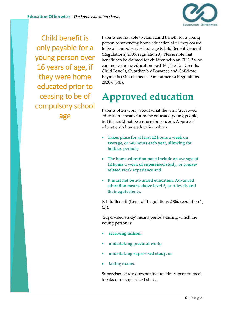

Child benefit is only payable for a young person over 16 years of age, if they were home educated prior to ceasing to be of compulsory school age

Parents are not able to claim child benefit for a young person commencing home education after they ceased to be of compulsory school age (Child Benefit General (Regulations) 2006, regulation 3). Please note that benefit can be claimed for children with an EHCP who commence home education post 16 (The Tax Credits, Child Benefit, Guardian's Allowance and Childcare Payments (Miscellaneous Amendments) Regulations 2020 6 (3)b).

# **Approved education**

Parents often worry about what the term 'approved education ' means for home educated young people, but it should not be a cause for concern. Approved education is home education which:

- **Takes place for at least 12 hours a week on average, or 540 hours each year, allowing for holiday periods;**
- **The home education must include an average of 12 hours a week of supervised study, or courserelated work experience and**
- **It must not be advanced education. Advanced education means above level 3, or A levels and their equivalents.**

(Child Benefit (General) Regulations 2006, regulation 1, (3)).

'Supervised study' means periods during which the young person is:

- **receiving tuition;**
- **undertaking practical work;**
- **undertaking supervised study, or**
- **taking exams.**

Supervised study does not include time spent on meal breaks or unsupervised study.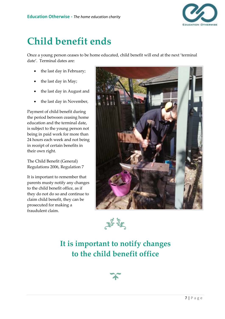

### **Child benefit ends**

Once a young person ceases to be home educated, child benefit will end at the next 'terminal date'. Terminal dates are:

- the last day in February;
- the last day in May;
- the last day in August and
- the last day in November,

Payment of child benefit during the period between ceasing home education and the terminal date, is subject to the young person not being in paid work for more than 24 hours each week and not being in receipt of certain benefits in their own right.

The Child Benefit (General) Regulations 2006, Regulation 7

It is important to remember that parents musty notify any changes to the child benefit office, as if they do not do so and continue to claim child benefit, they can be prosecuted for making a fraudulent claim.





### **It is important to notify changes to the child benefit office**